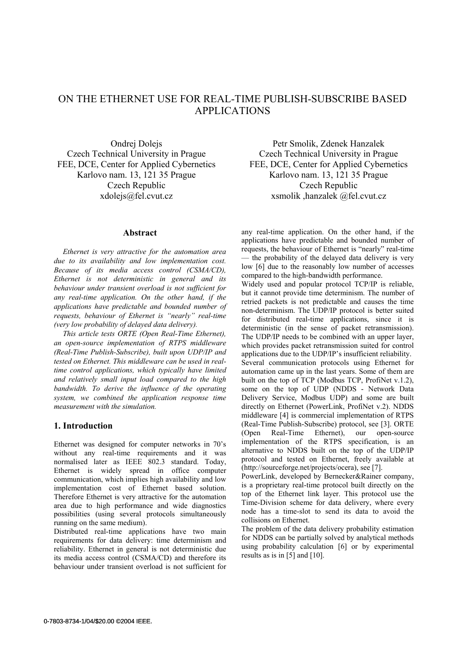# ON THE ETHERNET USE FOR REAL-TIME PUBLISH-SUBSCRIBE BASED APPLICATIONS

Ondrej Dolejs Czech Technical University in Prague FEE, DCE, Center for Applied Cybernetics Karlovo nam. 13, 121 35 Prague Czech Republic xdolejs@fel.cvut.cz

### **Abstract**

*Ethernet is very attractive for the automation area due to its availability and low implementation cost. Because of its media access control (CSMA/CD), Ethernet is not deterministic in general and its behaviour under transient overload is not sufficient for any real-time application. On the other hand, if the applications have predictable and bounded number of requests, behaviour of Ethernet is "nearly" real-time (very low probability of delayed data delivery).* 

*This article tests ORTE (Open Real-Time Ethernet), an open-source implementation of RTPS middleware (Real-Time Publish-Subscribe), built upon UDP/IP and tested on Ethernet. This middleware can be used in realtime control applications, which typically have limited and relatively small input load compared to the high bandwidth. To derive the influence of the operating system, we combined the application response time measurement with the simulation.* 

## **1. Introduction**

Ethernet was designed for computer networks in 70's without any real-time requirements and it was normalised later as IEEE 802.3 standard. Today, Ethernet is widely spread in office computer communication, which implies high availability and low implementation cost of Ethernet based solution. Therefore Ethernet is very attractive for the automation area due to high performance and wide diagnostics possibilities (using several protocols simultaneously running on the same medium).

Distributed real-time applications have two main requirements for data delivery: time determinism and reliability. Ethernet in general is not deterministic due its media access control (CSMA/CD) and therefore its behaviour under transient overload is not sufficient for

Petr Smolik, Zdenek Hanzalek Czech Technical University in Prague FEE, DCE, Center for Applied Cybernetics Karlovo nam. 13, 121 35 Prague Czech Republic xsmolik ,hanzalek @fel.cvut.cz

any real-time application. On the other hand, if the applications have predictable and bounded number of requests, the behaviour of Ethernet is "nearly" real-time — the probability of the delayed data delivery is very low [6] due to the reasonably low number of accesses compared to the high-bandwidth performance.

Widely used and popular protocol TCP/IP is reliable, but it cannot provide time determinism. The number of retried packets is not predictable and causes the time non-determinism. The UDP/IP protocol is better suited for distributed real-time applications, since it is deterministic (in the sense of packet retransmission). The UDP/IP needs to be combined with an upper layer, which provides packet retransmission suited for control applications due to the UDP/IP's insufficient reliability. Several communication protocols using Ethernet for automation came up in the last years. Some of them are built on the top of TCP (Modbus TCP, ProfiNet v.1.2), some on the top of UDP (NDDS - Network Data Delivery Service, Modbus UDP) and some are built directly on Ethernet (PowerLink, ProfiNet v.2). NDDS middleware [4] is commercial implementation of RTPS (Real-Time Publish-Subscribe) protocol, see [3]. ORTE (Open Real-Time Ethernet), our open-source implementation of the RTPS specification, is an alternative to NDDS built on the top of the UDP/IP protocol and tested on Ethernet, freely available at (http://sourceforge.net/projects/ocera), see [7].

PowerLink, developed by Bernecker&Rainer company, is a proprietary real-time protocol built directly on the top of the Ethernet link layer. This protocol use the Time-Division scheme for data delivery, where every node has a time-slot to send its data to avoid the collisions on Ethernet.

The problem of the data delivery probability estimation for NDDS can be partially solved by analytical methods using probability calculation [6] or by experimental results as is in [5] and [10].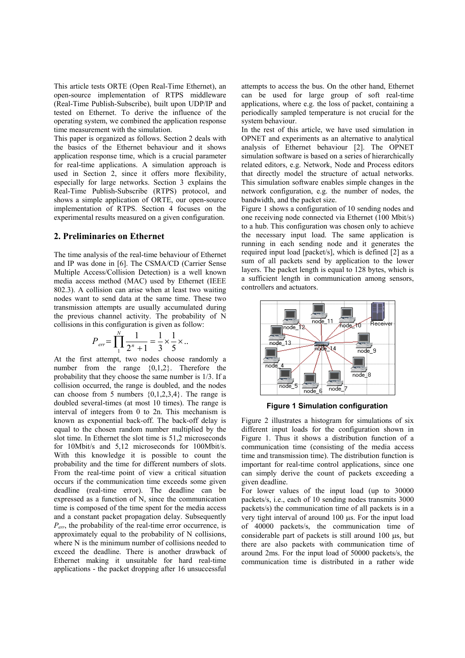This article tests ORTE (Open Real-Time Ethernet), an open-source implementation of RTPS middleware (Real-Time Publish-Subscribe), built upon UDP/IP and tested on Ethernet. To derive the influence of the operating system, we combined the application response time measurement with the simulation.

This paper is organized as follows. Section 2 deals with the basics of the Ethernet behaviour and it shows application response time, which is a crucial parameter for real-time applications. A simulation approach is used in Section 2, since it offers more flexibility, especially for large networks. Section 3 explains the Real-Time Publish-Subscribe (RTPS) protocol, and shows a simple application of ORTE, our open-source implementation of RTPS. Section 4 focuses on the experimental results measured on a given configuration.

## **2. Preliminaries on Ethernet**

The time analysis of the real-time behaviour of Ethernet and IP was done in [6]. The CSMA/CD (Carrier Sense Multiple Access/Collision Detection) is a well known media access method (MAC) used by Ethernet (IEEE 802.3). A collision can arise when at least two waiting nodes want to send data at the same time. These two transmission attempts are usually accumulated during the previous channel activity. The probability of N collisions in this configuration is given as follow:

$$
P_{err} = \prod_{1}^{N} \frac{1}{2^n + 1} = \frac{1}{3} \times \frac{1}{5} \times \dots
$$

At the first attempt, two nodes choose randomly a number from the range  $\{0,1,2\}$ . Therefore the probability that they choose the same number is 1/3. If a collision occurred, the range is doubled, and the nodes can choose from 5 numbers  $\{0,1,2,3,4\}$ . The range is doubled several-times (at most 10 times). The range is interval of integers from 0 to 2n. This mechanism is known as exponential back-off. The back-off delay is equal to the chosen random number multiplied by the slot time. In Ethernet the slot time is 51,2 microseconds for 10Mbit/s and 5,12 microseconds for 100Mbit/s. With this knowledge it is possible to count the probability and the time for different numbers of slots. From the real-time point of view a critical situation occurs if the communication time exceeds some given deadline (real-time error). The deadline can be expressed as a function of N, since the communication time is composed of the time spent for the media access and a constant packet propagation delay. Subsequently *Perr*, the probability of the real-time error occurrence, is approximately equal to the probability of N collisions, where N is the minimum number of collisions needed to exceed the deadline. There is another drawback of Ethernet making it unsuitable for hard real-time applications - the packet dropping after 16 unsuccessful attempts to access the bus. On the other hand, Ethernet can be used for large group of soft real-time applications, where e.g. the loss of packet, containing a periodically sampled temperature is not crucial for the system behaviour.

In the rest of this article, we have used simulation in OPNET and experiments as an alternative to analytical analysis of Ethernet behaviour [2]. The OPNET simulation software is based on a series of hierarchically related editors, e.g. Network, Node and Process editors that directly model the structure of actual networks. This simulation software enables simple changes in the network configuration, e.g. the number of nodes, the bandwidth, and the packet size.

Figure 1 shows a configuration of 10 sending nodes and one receiving node connected via Ethernet (100 Mbit/s) to a hub. This configuration was chosen only to achieve the necessary input load. The same application is running in each sending node and it generates the required input load [packet/s], which is defined [2] as a sum of all packets send by application to the lower layers. The packet length is equal to 128 bytes, which is a sufficient length in communication among sensors, controllers and actuators.



**Figure 1 Simulation configuration** 

Figure 2 illustrates a histogram for simulations of six different input loads for the configuration shown in Figure 1. Thus it shows a distribution function of a communication time (consisting of the media access time and transmission time). The distribution function is important for real-time control applications, since one can simply derive the count of packets exceeding a given deadline.

For lower values of the input load (up to 30000 packets/s, i.e., each of 10 sending nodes transmits 3000 packets/s) the communication time of all packets is in a very tight interval of around 100 µs. For the input load of 40000 packets/s, the communication time of considerable part of packets is still around 100 µs, but there are also packets with communication time of around 2ms. For the input load of 50000 packets/s, the communication time is distributed in a rather wide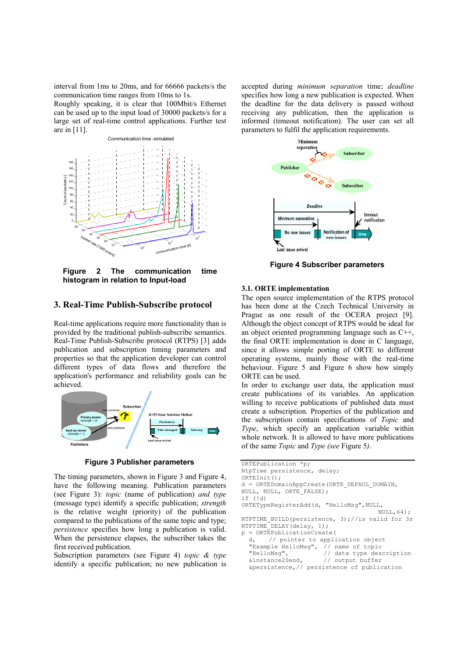interval from 1ms to 20ms, and for 66666 packets/s the communication time ranges from 10ms to 1s.

Roughly speaking, it is clear that 100Mbit/s Ethernet can be used up to the input load of 30000 packets/s for a large set of real-time control applications. Further test are in [11].



**Figure 2 The communication time histogram in relation to Input-load** 

# **3. Real-Time Publish-Subscribe protocol**

Real-time applications require more functionality than is provided by the traditional publish-subscribe semantics. Real-Time Publish-Subscribe protocol (RTPS) [3] adds publication and subscription timing parameters and properties so that the application developer can control different types of data flows and therefore the application's performance and reliability goals can be achieved.



**Figure 3 Publisher parameters** 

The timing parameters, shown in Figure 3 and Figure 4, have the following meaning. Publication parameters (see Figure 3): *topic* (name of publication) *and type*  (message type) identify a specific publication; *strength* is the relative weight (priority) of the publication compared to the publications of the same topic and type; *persistence* specifies how long a publication is valid. When the persistence elapses, the subscriber takes the first received publication.

Subscription parameters (see Figure 4) *topic & type* identify a specific publication; no new publication is

accepted during *minimum separation* time; *deadline*  specifies how long a new publication is expected. When the deadline for the data delivery is passed without receiving any publication, then the application is informed (timeout notification). The user can set all parameters to fulfil the application requirements.



**Figure 4 Subscriber parameters**

### **3.1. ORTE implementation**

The open source implementation of the RTPS protocol has been done at the Czech Technical University in Prague as one result of the OCERA project [9]. Although the object concept of RTPS would be ideal for an object oriented programming language such as C++, the final ORTE implementation is done in C language, since it allows simple porting of ORTE to different operating systems, mainly those with the real-time behaviour. Figure 5 and Figure 6 show how simply ORTE can be used.

In order to exchange user data, the application must create publications of its variables. An application willing to receive publications of published data must create a subscription. Properties of the publication and the subscription contain specifications of *Topic* and *Type*, which specify an application variable within whole network. It is allowed to have more publications of the same *Topic* and *Type (see* Figure 5*)*.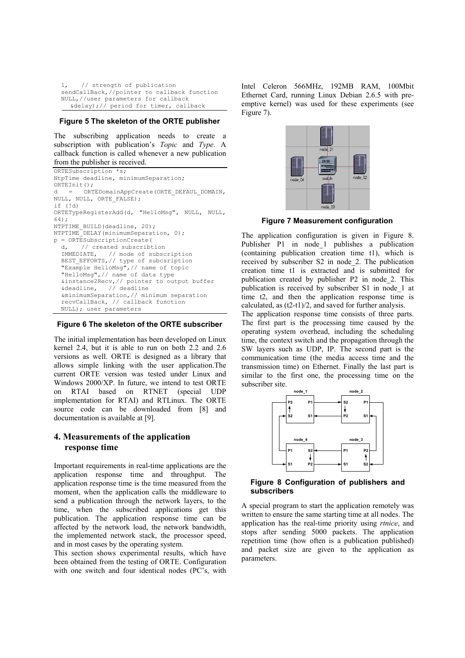```
// strength of publication
sendCallBack,//pointer to callback function 
NULL,//user parameters for callback 
  &delay);// period for timer, callback
```
#### **Figure 5 The skeleton of the ORTE publisher**

The subscribing application needs to create a subscription with publication's *Topic* and *Type*. A callback function is called whenever a new publication from the publisher is received.

ORTESubscription \*s; NtpTime deadline, minimumSeparation; ORTEInit(); d = ORTEDomainAppCreate(ORTE\_DEFAUL\_DOMAIN, NULL, NULL, ORTE\_FALSE); if (!d) ORTETypeRegisterAdd(d, "HelloMsg", NULL, NULL, 64); NTPTIME BUILD(deadline, 20); NTPTIME<sup>DELAY</sup>(minimumSeparation, 0); p = ORTESubscriptionCreate( d, // created subscribtion IMMEDIATE, // mode of subscription BEST\_EFFORTS,// type of subcsription "Example HelloMsg",// name of topic "HelloMsg",// name of data type &instance2Recv,// pointer to output buffer &deadline, // deadline &minimumSeparation,// minimum separation recvCallBack, // callback function NULL); user parameters

#### **Figure 6 The skeleton of the ORTE subscriber**

The initial implementation has been developed on Linux kernel 2.4, but it is able to run on both 2.2 and 2.6 versions as well. ORTE is designed as a library that allows simple linking with the user application.The current ORTE version was tested under Linux and Windows 2000/XP. In future, we intend to test ORTE on RTAI based on RTNET (special UDP implementation for RTAI) and RTLinux. The ORTE source code can be downloaded from [8] and documentation is available at [9].

# **4. Measurements of the application response time**

Important requirements in real-time applications are the application response time and throughput. The application response time is the time measured from the moment, when the application calls the middleware to send a publication through the network layers, to the time, when the subscribed applications get this publication. The application response time can be affected by the network load, the network bandwidth, the implemented network stack, the processor speed, and in most cases by the operating system.

This section shows experimental results, which have been obtained from the testing of ORTE. Configuration with one switch and four identical nodes (PC's, with

Intel Celeron 566MHz, 192MB RAM, 100Mbit Ethernet Card, running Linux Debian 2.6.5 with preemptive kernel) was used for these experiments (see Figure 7).



**Figure 7 Measurement configuration** 

The application configuration is given in Figure 8. Publisher P1 in node 1 publishes a publication (containing publication creation time t1), which is received by subscriber S2 in node\_2. The publication creation time t1 is extracted and is submitted for publication created by publisher P2 in node\_2. This publication is received by subscriber S1 in node\_1 at time t2, and then the application response time is calculated, as (t2-t1)/2, and saved for further analysis.

The application response time consists of three parts. The first part is the processing time caused by the operating system overhead, including the scheduling time, the context switch and the propagation through the SW layers such as UDP, IP. The second part is the communication time (the media access time and the transmission time) on Ethernet. Finally the last part is similar to the first one, the processing time on the subscriber site.



**Figure 8 Configuration of publishers and subscribers** 

A special program to start the application remotely was written to ensure the same starting time at all nodes. The application has the real-time priority using *rtnice*, and stops after sending 5000 packets. The application repetition time (how often is a publication published) and packet size are given to the application as parameters.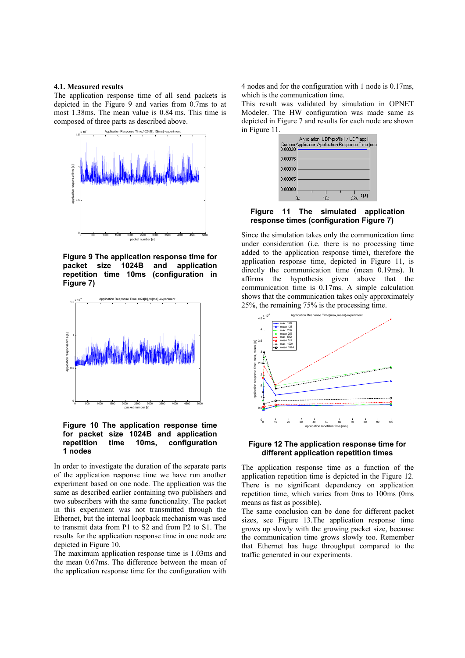#### **4.1. Measured results**

The application response time of all send packets is depicted in the Figure 9 and varies from 0.7ms to at most 1.38ms. The mean value is 0.84 ms. This time is composed of three parts as described above.



**Figure 9 The application response time for packet size 1024B and application repetition time 10ms (configuration in Figure 7)** 



**Figure 10 The application response time for packet size 1024B and application repetition time 10ms, configuration 1 nodes** 

In order to investigate the duration of the separate parts of the application response time we have run another experiment based on one node. The application was the same as described earlier containing two publishers and two subscribers with the same functionality. The packet in this experiment was not transmitted through the Ethernet, but the internal loopback mechanism was used to transmit data from P1 to S2 and from P2 to S1. The results for the application response time in one node are depicted in Figure 10.

The maximum application response time is 1.03ms and the mean 0.67ms. The difference between the mean of the application response time for the configuration with 4 nodes and for the configuration with 1 node is 0.17ms, which is the communication time.

This result was validated by simulation in OPNET Modeler. The HW configuration was made same as depicted in Figure 7 and results for each node are shown in Figure 11.



**Figure 11 The simulated application response times (configuration Figure 7)** 

Since the simulation takes only the communication time under consideration (i.e. there is no processing time added to the application response time), therefore the application response time, depicted in Figure 11, is directly the communication time (mean 0.19ms). It affirms the hypothesis given above that the communication time is 0.17ms. A simple calculation shows that the communication takes only approximately 25%, the remaining 75% is the processing time.



**Figure 12 The application response time for different application repetition times** 

The application response time as a function of the application repetition time is depicted in the Figure 12. There is no significant dependency on application repetition time, which varies from 0ms to 100ms (0ms means as fast as possible).

The same conclusion can be done for different packet sizes, see Figure 13.The application response time grows up slowly with the growing packet size, because the communication time grows slowly too. Remember that Ethernet has huge throughput compared to the traffic generated in our experiments.